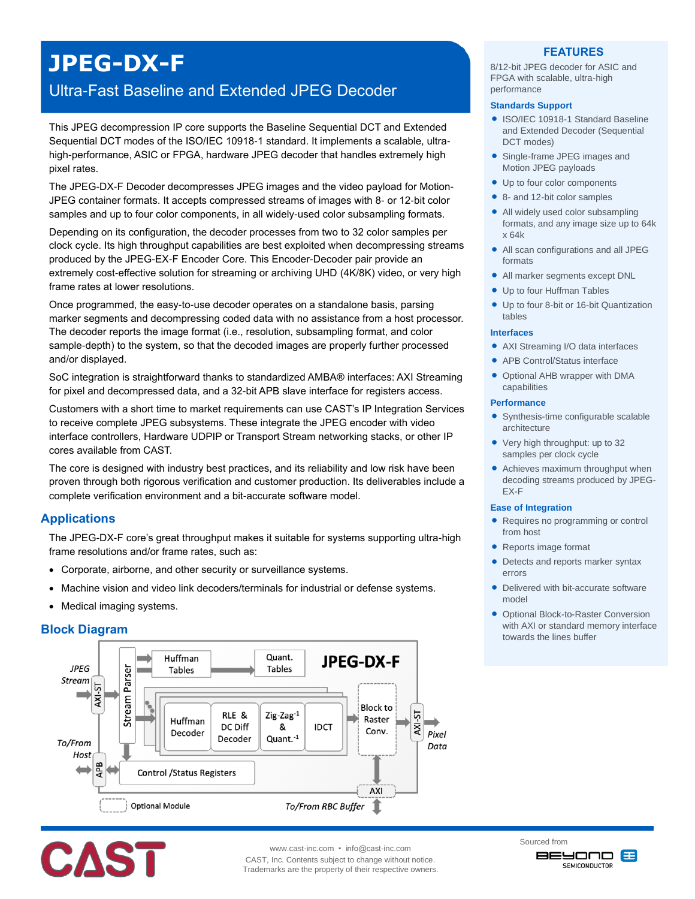# **JPEG-DX-F**

## Ultra-Fast Baseline and Extended JPEG Decoder

This JPEG decompression IP core supports the Baseline Sequential DCT and Extended Sequential DCT modes of the ISO/IEC 10918-1 standard. It implements a scalable, ultrahigh-performance, ASIC or FPGA, hardware JPEG decoder that handles extremely high pixel rates.

The JPEG-DX-F Decoder decompresses JPEG images and the video payload for Motion-JPEG container formats. It accepts compressed streams of images with 8- or 12-bit color samples and up to four color components, in all widely-used color subsampling formats.

Depending on its configuration, the decoder processes from two to 32 color samples per clock cycle. Its high throughput capabilities are best exploited when decompressing streams produced by the JPEG-EX-F Encoder Core. This Encoder-Decoder pair provide an extremely cost-effective solution for streaming or archiving UHD (4K/8K) video, or very high frame rates at lower resolutions.

Once programmed, the easy-to-use decoder operates on a standalone basis, parsing marker segments and decompressing coded data with no assistance from a host processor. The decoder reports the image format (i.e., resolution, subsampling format, and color sample-depth) to the system, so that the decoded images are properly further processed and/or displayed.

SoC integration is straightforward thanks to standardized AMBA® interfaces: AXI Streaming for pixel and decompressed data, and a 32-bit APB slave interface for registers access.

Customers with a short time to market requirements can use CAST's IP Integration Services to receive complete JPEG subsystems. These integrate the JPEG encoder with video interface controllers, Hardware UDPIP or Transport Stream networking stacks, or other IP cores available from CAST.

The core is designed with industry best practices, and its reliability and low risk have been proven through both rigorous verification and customer production. Its deliverables include a complete verification environment and a bit-accurate software model.

## **Applications**

The JPEG-DX-F core's great throughput makes it suitable for systems supporting ultra-high frame resolutions and/or frame rates, such as:

- Corporate, airborne, and other security or surveillance systems.
- Machine vision and video link decoders/terminals for industrial or defense systems.
- Medical imaging systems.

## **Block Diagram**





www.cast-inc.com • info@cast-inc.com

CAST, Inc. Contents subject to change without notice. Trademarks are the property of their respective owners.

## **FEATURES**

8/12-bit JPEG decoder for ASIC and FPGA with scalable, ultra-high performance

#### **Standards Support**

- ISO/IEC 10918-1 Standard Baseline and Extended Decoder (Sequential DCT modes)
- Single-frame JPEG images and Motion JPEG payloads
- Up to four color components
- 8- and 12-bit color samples
- All widely used color subsampling formats, and any image size up to 64k x 64k
- All scan configurations and all JPEG formats
- All marker segments except DNL
- Up to four Huffman Tables
- Up to four 8-bit or 16-bit Quantization tables

#### **Interfaces**

- AXI Streaming I/O data interfaces
- APB Control/Status interface
- Optional AHB wrapper with DMA capabilities

#### **Performance**

- Synthesis-time configurable scalable architecture
- Very high throughput: up to 32 samples per clock cycle
- Achieves maximum throughput when decoding streams produced by JPEG-EX-F

#### **Ease of Integration**

- Requires no programming or control from host
- Reports image format
- Detects and reports marker syntax errors
- Delivered with bit-accurate software model
- **Optional Block-to-Raster Conversion** with AXI or standard memory interface towards the lines buffer